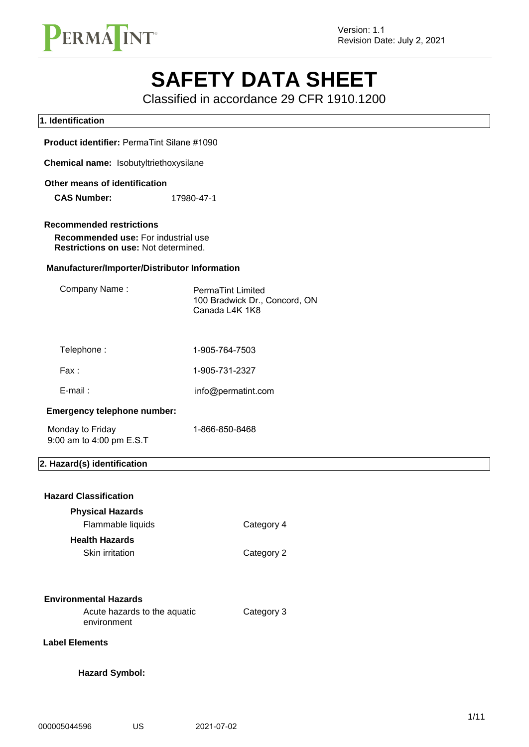

# **SAFETY DATA SHEET**

Classified in accordance 29 CFR 1910.1200

## **1. Identification Product identifier:** PermaTint Silane #1090 **Chemical name:** Isobutyltriethoxysilane **Other means of identification Recommended restrictions Recommended use:** For industrial use **Restrictions on use:** Not determined. **Manufacturer/Importer/Distributor Information** Company Name: PermaTint Limited 100 Bradwick Dr., Concord, ON Canada L4K 1K8 Telephone : Fax : E-mail : 1-905-764-7503 1-905-731-2327 **Emergency telephone number: 2. Hazard(s) identification Hazard Classification Physical Hazards** Flammable liquids Category 4 **Health Hazards** Skin irritation Category 2 **Environmental Hazards** Acute hazards to the aquatic environment Category 3 **Hazard Symbol: Label Elements CAS Number:** 17980-47-1 info@permatint.com Monday to Friday 1-866-850-8468 9:00 am to 4:00 pm E.S.T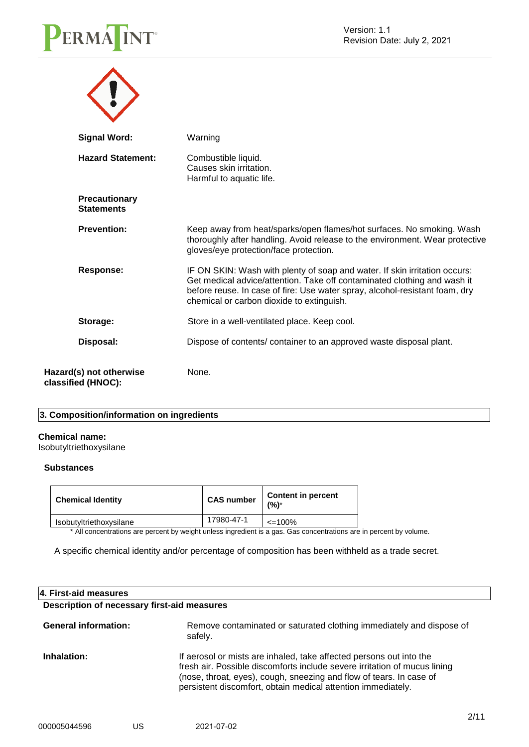

| <b>Signal Word:</b>                           | Warning                                                                                                                                                                                                                                                                            |
|-----------------------------------------------|------------------------------------------------------------------------------------------------------------------------------------------------------------------------------------------------------------------------------------------------------------------------------------|
| <b>Hazard Statement:</b>                      | Combustible liquid.<br>Causes skin irritation.<br>Harmful to aquatic life.                                                                                                                                                                                                         |
| <b>Precautionary</b><br><b>Statements</b>     |                                                                                                                                                                                                                                                                                    |
| <b>Prevention:</b>                            | Keep away from heat/sparks/open flames/hot surfaces. No smoking. Wash<br>thoroughly after handling. Avoid release to the environment. Wear protective<br>gloves/eye protection/face protection.                                                                                    |
| <b>Response:</b>                              | IF ON SKIN: Wash with plenty of soap and water. If skin irritation occurs:<br>Get medical advice/attention. Take off contaminated clothing and wash it<br>before reuse. In case of fire: Use water spray, alcohol-resistant foam, dry<br>chemical or carbon dioxide to extinguish. |
| Storage:                                      | Store in a well-ventilated place. Keep cool.                                                                                                                                                                                                                                       |
| Disposal:                                     | Dispose of contents/ container to an approved waste disposal plant.                                                                                                                                                                                                                |
| Hazard(s) not otherwise<br>classified (HNOC): | None.                                                                                                                                                                                                                                                                              |

#### **3. Composition/information on ingredients**

#### **Chemical name:**

Isobutyltriethoxysilane

#### **Substances**

| <b>Chemical Identity</b> | <b>CAS number</b> | <b>Content in percent</b><br>(%)* |
|--------------------------|-------------------|-----------------------------------|
| Isobutyltriethoxysilane  | 17980-47-1        | $\leq 100\%$                      |
|                          |                   |                                   |

\* All concentrations are percent by weight unless ingredient is a gas. Gas concentrations are in percent by volume.

A specific chemical identity and/or percentage of composition has been withheld as a trade secret.

#### **4. First-aid measures**

#### **Description of necessary first-aid measures**

| <b>General information:</b> | Remove contaminated or saturated clothing immediately and dispose of<br>safely.                                                                                                                                                                                                         |
|-----------------------------|-----------------------------------------------------------------------------------------------------------------------------------------------------------------------------------------------------------------------------------------------------------------------------------------|
| Inhalation:                 | If aerosol or mists are inhaled, take affected persons out into the<br>fresh air. Possible discomforts include severe irritation of mucus lining<br>(nose, throat, eyes), cough, sneezing and flow of tears. In case of<br>persistent discomfort, obtain medical attention immediately. |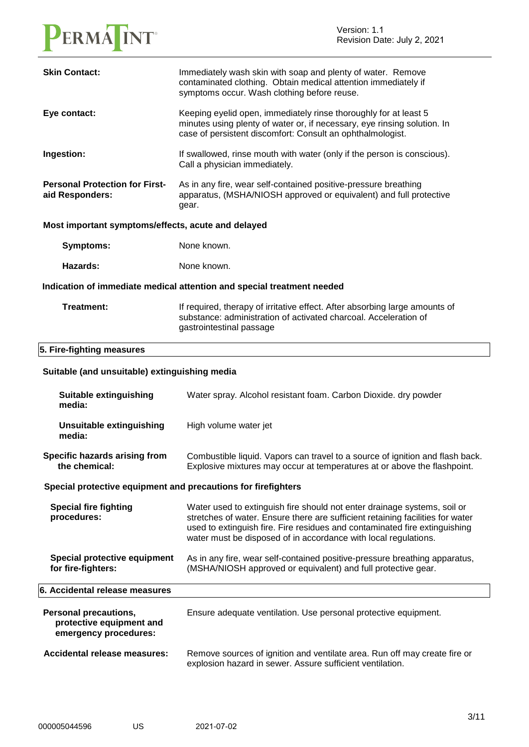

| <b>Skin Contact:</b>                                                              | Immediately wash skin with soap and plenty of water. Remove<br>contaminated clothing. Obtain medical attention immediately if<br>symptoms occur. Wash clothing before reuse.                                                                                                                                |  |
|-----------------------------------------------------------------------------------|-------------------------------------------------------------------------------------------------------------------------------------------------------------------------------------------------------------------------------------------------------------------------------------------------------------|--|
| Eye contact:                                                                      | Keeping eyelid open, immediately rinse thoroughly for at least 5<br>minutes using plenty of water or, if necessary, eye rinsing solution. In<br>case of persistent discomfort: Consult an ophthalmologist.                                                                                                  |  |
| Ingestion:                                                                        | If swallowed, rinse mouth with water (only if the person is conscious).<br>Call a physician immediately.                                                                                                                                                                                                    |  |
| <b>Personal Protection for First-</b><br>aid Responders:                          | As in any fire, wear self-contained positive-pressure breathing<br>apparatus, (MSHA/NIOSH approved or equivalent) and full protective<br>gear.                                                                                                                                                              |  |
| Most important symptoms/effects, acute and delayed                                |                                                                                                                                                                                                                                                                                                             |  |
| <b>Symptoms:</b>                                                                  | None known.                                                                                                                                                                                                                                                                                                 |  |
| Hazards:                                                                          | None known.                                                                                                                                                                                                                                                                                                 |  |
| Indication of immediate medical attention and special treatment needed            |                                                                                                                                                                                                                                                                                                             |  |
| Treatment:                                                                        | If required, therapy of irritative effect. After absorbing large amounts of<br>substance: administration of activated charcoal. Acceleration of<br>gastrointestinal passage                                                                                                                                 |  |
| 5. Fire-fighting measures                                                         |                                                                                                                                                                                                                                                                                                             |  |
| Suitable (and unsuitable) extinguishing media                                     |                                                                                                                                                                                                                                                                                                             |  |
| Suitable extinguishing<br>media:                                                  | Water spray. Alcohol resistant foam. Carbon Dioxide. dry powder                                                                                                                                                                                                                                             |  |
|                                                                                   |                                                                                                                                                                                                                                                                                                             |  |
| <b>Unsuitable extinguishing</b><br>media:                                         | High volume water jet                                                                                                                                                                                                                                                                                       |  |
| Specific hazards arising from<br>the chemical:                                    | Combustible liquid. Vapors can travel to a source of ignition and flash back.<br>Explosive mixtures may occur at temperatures at or above the flashpoint.                                                                                                                                                   |  |
| Special protective equipment and precautions for firefighters                     |                                                                                                                                                                                                                                                                                                             |  |
| <b>Special fire fighting</b><br>procedures:                                       | Water used to extinguish fire should not enter drainage systems, soil or<br>stretches of water. Ensure there are sufficient retaining facilities for water<br>used to extinguish fire. Fire residues and contaminated fire extinguishing<br>water must be disposed of in accordance with local regulations. |  |
| Special protective equipment<br>for fire-fighters:                                | As in any fire, wear self-contained positive-pressure breathing apparatus,<br>(MSHA/NIOSH approved or equivalent) and full protective gear.                                                                                                                                                                 |  |
| 6. Accidental release measures                                                    |                                                                                                                                                                                                                                                                                                             |  |
| <b>Personal precautions,</b><br>protective equipment and<br>emergency procedures: | Ensure adequate ventilation. Use personal protective equipment.                                                                                                                                                                                                                                             |  |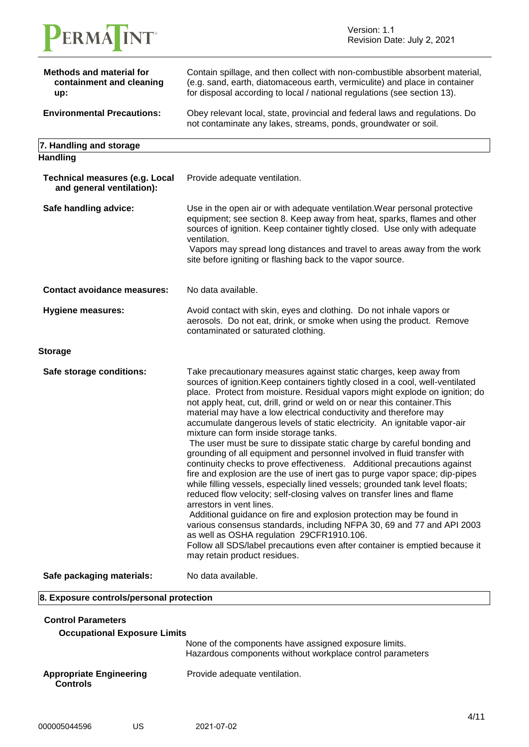

| <b>Methods and material for</b><br>containment and cleaning<br>up: | Contain spillage, and then collect with non-combustible absorbent material,<br>(e.g. sand, earth, diatomaceous earth, vermiculite) and place in container<br>for disposal according to local / national regulations (see section 13).                                                                                                                                                                                                                                                                                                                                                                                                                                                                                                                                                                                                                                                                                                                                                                                                                                                                                                                                                                                                                                                                                              |
|--------------------------------------------------------------------|------------------------------------------------------------------------------------------------------------------------------------------------------------------------------------------------------------------------------------------------------------------------------------------------------------------------------------------------------------------------------------------------------------------------------------------------------------------------------------------------------------------------------------------------------------------------------------------------------------------------------------------------------------------------------------------------------------------------------------------------------------------------------------------------------------------------------------------------------------------------------------------------------------------------------------------------------------------------------------------------------------------------------------------------------------------------------------------------------------------------------------------------------------------------------------------------------------------------------------------------------------------------------------------------------------------------------------|
| <b>Environmental Precautions:</b>                                  | Obey relevant local, state, provincial and federal laws and regulations. Do<br>not contaminate any lakes, streams, ponds, groundwater or soil.                                                                                                                                                                                                                                                                                                                                                                                                                                                                                                                                                                                                                                                                                                                                                                                                                                                                                                                                                                                                                                                                                                                                                                                     |
| 7. Handling and storage                                            |                                                                                                                                                                                                                                                                                                                                                                                                                                                                                                                                                                                                                                                                                                                                                                                                                                                                                                                                                                                                                                                                                                                                                                                                                                                                                                                                    |
| <b>Handling</b>                                                    |                                                                                                                                                                                                                                                                                                                                                                                                                                                                                                                                                                                                                                                                                                                                                                                                                                                                                                                                                                                                                                                                                                                                                                                                                                                                                                                                    |
| <b>Technical measures (e.g. Local</b><br>and general ventilation): | Provide adequate ventilation.                                                                                                                                                                                                                                                                                                                                                                                                                                                                                                                                                                                                                                                                                                                                                                                                                                                                                                                                                                                                                                                                                                                                                                                                                                                                                                      |
| Safe handling advice:                                              | Use in the open air or with adequate ventilation. Wear personal protective<br>equipment; see section 8. Keep away from heat, sparks, flames and other<br>sources of ignition. Keep container tightly closed. Use only with adequate<br>ventilation.<br>Vapors may spread long distances and travel to areas away from the work<br>site before igniting or flashing back to the vapor source.                                                                                                                                                                                                                                                                                                                                                                                                                                                                                                                                                                                                                                                                                                                                                                                                                                                                                                                                       |
| <b>Contact avoidance measures:</b>                                 | No data available.                                                                                                                                                                                                                                                                                                                                                                                                                                                                                                                                                                                                                                                                                                                                                                                                                                                                                                                                                                                                                                                                                                                                                                                                                                                                                                                 |
| <b>Hygiene measures:</b>                                           | Avoid contact with skin, eyes and clothing. Do not inhale vapors or<br>aerosols. Do not eat, drink, or smoke when using the product. Remove<br>contaminated or saturated clothing.                                                                                                                                                                                                                                                                                                                                                                                                                                                                                                                                                                                                                                                                                                                                                                                                                                                                                                                                                                                                                                                                                                                                                 |
| <b>Storage</b>                                                     |                                                                                                                                                                                                                                                                                                                                                                                                                                                                                                                                                                                                                                                                                                                                                                                                                                                                                                                                                                                                                                                                                                                                                                                                                                                                                                                                    |
| Safe storage conditions:                                           | Take precautionary measures against static charges, keep away from<br>sources of ignition. Keep containers tightly closed in a cool, well-ventilated<br>place. Protect from moisture. Residual vapors might explode on ignition; do<br>not apply heat, cut, drill, grind or weld on or near this container. This<br>material may have a low electrical conductivity and therefore may<br>accumulate dangerous levels of static electricity. An ignitable vapor-air<br>mixture can form inside storage tanks.<br>The user must be sure to dissipate static charge by careful bonding and<br>grounding of all equipment and personnel involved in fluid transfer with<br>continuity checks to prove effectiveness. Additional precautions against<br>fire and explosion are the use of inert gas to purge vapor space; dip-pipes<br>while filling vessels, especially lined vessels; grounded tank level floats;<br>reduced flow velocity; self-closing valves on transfer lines and flame<br>arrestors in vent lines.<br>Additional guidance on fire and explosion protection may be found in<br>various consensus standards, including NFPA 30, 69 and 77 and API 2003<br>as well as OSHA regulation 29CFR1910.106.<br>Follow all SDS/label precautions even after container is emptied because it<br>may retain product residues. |
| Safe packaging materials:                                          | No data available.                                                                                                                                                                                                                                                                                                                                                                                                                                                                                                                                                                                                                                                                                                                                                                                                                                                                                                                                                                                                                                                                                                                                                                                                                                                                                                                 |
| 8. Exposure controls/personal protection                           |                                                                                                                                                                                                                                                                                                                                                                                                                                                                                                                                                                                                                                                                                                                                                                                                                                                                                                                                                                                                                                                                                                                                                                                                                                                                                                                                    |
| <b>Control Parameters</b><br><b>Occupational Exposure Limits</b>   | None of the components have assigned exposure limits.                                                                                                                                                                                                                                                                                                                                                                                                                                                                                                                                                                                                                                                                                                                                                                                                                                                                                                                                                                                                                                                                                                                                                                                                                                                                              |
|                                                                    | Hazardous components without workplace control parameters                                                                                                                                                                                                                                                                                                                                                                                                                                                                                                                                                                                                                                                                                                                                                                                                                                                                                                                                                                                                                                                                                                                                                                                                                                                                          |

**Appropriate Engineering Controls** Provide adequate ventilation.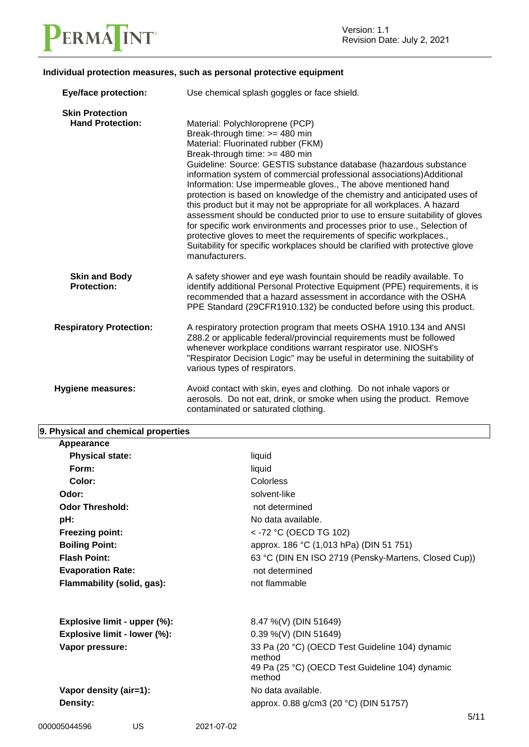

#### **Individual protection measures, such as personal protective equipment**

| <b>Eye/face protection:</b>                       | Use chemical splash goggles or face shield.                                                                                                                                                                                                                                                                                                                                                                                                                                                                                                                                                                                                                                                                                                                                                                                                             |
|---------------------------------------------------|---------------------------------------------------------------------------------------------------------------------------------------------------------------------------------------------------------------------------------------------------------------------------------------------------------------------------------------------------------------------------------------------------------------------------------------------------------------------------------------------------------------------------------------------------------------------------------------------------------------------------------------------------------------------------------------------------------------------------------------------------------------------------------------------------------------------------------------------------------|
| <b>Skin Protection</b><br><b>Hand Protection:</b> | Material: Polychloroprene (PCP)<br>Break-through time: >= 480 min<br>Material: Fluorinated rubber (FKM)<br>Break-through time: >= 480 min<br>Guideline: Source: GESTIS substance database (hazardous substance<br>information system of commercial professional associations) Additional<br>Information: Use impermeable gloves., The above mentioned hand<br>protection is based on knowledge of the chemistry and anticipated uses of<br>this product but it may not be appropriate for all workplaces. A hazard<br>assessment should be conducted prior to use to ensure suitability of gloves<br>for specific work environments and processes prior to use., Selection of<br>protective gloves to meet the requirements of specific workplaces.,<br>Suitability for specific workplaces should be clarified with protective glove<br>manufacturers. |
| <b>Skin and Body</b><br><b>Protection:</b>        | A safety shower and eye wash fountain should be readily available. To<br>identify additional Personal Protective Equipment (PPE) requirements, it is<br>recommended that a hazard assessment in accordance with the OSHA<br>PPE Standard (29CFR1910.132) be conducted before using this product.                                                                                                                                                                                                                                                                                                                                                                                                                                                                                                                                                        |
| <b>Respiratory Protection:</b>                    | A respiratory protection program that meets OSHA 1910.134 and ANSI<br>Z88.2 or applicable federal/provincial requirements must be followed<br>whenever workplace conditions warrant respirator use. NIOSH's<br>"Respirator Decision Logic" may be useful in determining the suitability of<br>various types of respirators.                                                                                                                                                                                                                                                                                                                                                                                                                                                                                                                             |
| <b>Hygiene measures:</b>                          | Avoid contact with skin, eyes and clothing. Do not inhale vapors or<br>aerosols. Do not eat, drink, or smoke when using the product. Remove<br>contaminated or saturated clothing.                                                                                                                                                                                                                                                                                                                                                                                                                                                                                                                                                                                                                                                                      |

| 9. Physical and chemical properties |                                                           |
|-------------------------------------|-----------------------------------------------------------|
| Appearance                          |                                                           |
| <b>Physical state:</b>              | liquid                                                    |
| Form:                               | liquid                                                    |
| Color:                              | Colorless                                                 |
| Odor:                               | solvent-like                                              |
| <b>Odor Threshold:</b>              | not determined                                            |
| pH:                                 | No data available.                                        |
| <b>Freezing point:</b>              | < -72 °C (OECD TG 102)                                    |
| <b>Boiling Point:</b>               | approx. 186 °C (1,013 hPa) (DIN 51 751)                   |
| <b>Flash Point:</b>                 | 63 °C (DIN EN ISO 2719 (Pensky-Martens, Closed Cup))      |
| <b>Evaporation Rate:</b>            | not determined                                            |
| Flammability (solid, gas):          | not flammable                                             |
| Explosive limit - upper (%):        | 8.47 %(V) (DIN 51649)                                     |
| Explosive limit - lower (%):        | 0.39 %(V) (DIN 51649)                                     |
| Vapor pressure:                     | 33 Pa (20 °C) (OECD Test Guideline 104) dynamic<br>method |
|                                     | 49 Pa (25 °C) (OECD Test Guideline 104) dynamic<br>method |
| Vapor density (air=1):              | No data available.                                        |
| Density:                            | approx. 0.88 g/cm3 (20 °C) (DIN 51757)                    |
|                                     | 5/11                                                      |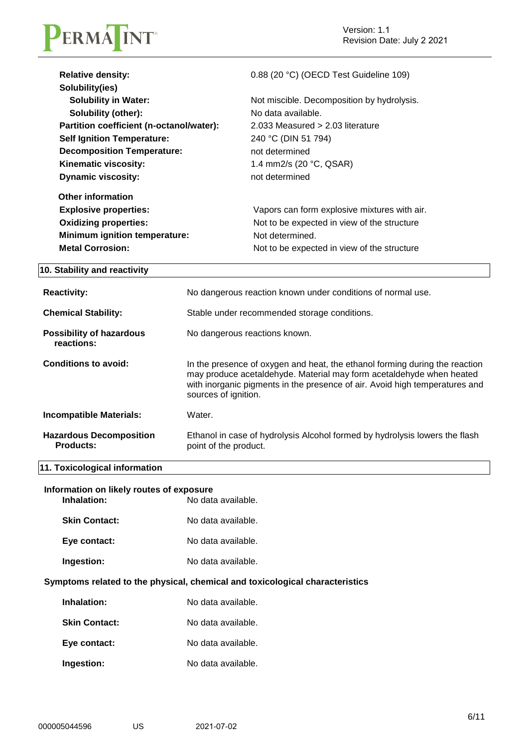

| <b>Relative density:</b>                 | 0.88 (20 °C) (OECD Test Guideline 109)       |
|------------------------------------------|----------------------------------------------|
| Solubility(ies)                          |                                              |
| <b>Solubility in Water:</b>              | Not miscible. Decomposition by hydrolysis.   |
| <b>Solubility (other):</b>               | No data available.                           |
| Partition coefficient (n-octanol/water): | $2.033$ Measured $> 2.03$ literature         |
| <b>Self Ignition Temperature:</b>        | 240 °C (DIN 51 794)                          |
| <b>Decomposition Temperature:</b>        | not determined                               |
| Kinematic viscosity:                     | 1.4 mm2/s $(20 °C, QSAR)$                    |
| <b>Dynamic viscosity:</b>                | not determined                               |
| <b>Other information</b>                 |                                              |
| <b>Explosive properties:</b>             | Vapors can form explosive mixtures with air. |
| <b>Oxidizing properties:</b>             | Not to be expected in view of the structure  |
| Minimum ignition temperature:            | Not determined.                              |
| <b>Metal Corrosion:</b>                  | Not to be expected in view of the structure  |

#### **10. Stability and reactivity**

| <b>Reactivity:</b>                                 | No dangerous reaction known under conditions of normal use.                                                                                                                                                                                                |  |
|----------------------------------------------------|------------------------------------------------------------------------------------------------------------------------------------------------------------------------------------------------------------------------------------------------------------|--|
| <b>Chemical Stability:</b>                         | Stable under recommended storage conditions.                                                                                                                                                                                                               |  |
| <b>Possibility of hazardous</b><br>reactions:      | No dangerous reactions known.                                                                                                                                                                                                                              |  |
| Conditions to avoid:                               | In the presence of oxygen and heat, the ethanol forming during the reaction<br>may produce acetaldehyde. Material may form acetaldehyde when heated<br>with inorganic pigments in the presence of air. Avoid high temperatures and<br>sources of ignition. |  |
| <b>Incompatible Materials:</b>                     | Water.                                                                                                                                                                                                                                                     |  |
| <b>Hazardous Decomposition</b><br><b>Products:</b> | Ethanol in case of hydrolysis Alcohol formed by hydrolysis lowers the flash<br>point of the product.                                                                                                                                                       |  |

### **11. Toxicological information**

| Information on likely routes of exposure |                    |
|------------------------------------------|--------------------|
| Inhalation:                              | No data available. |

| <b>Skin Contact:</b> | No data available. |
|----------------------|--------------------|
|                      |                    |

| Eye contact: | No data available. |
|--------------|--------------------|
|              |                    |

**Ingestion:** No data available.

#### **Symptoms related to the physical, chemical and toxicological characteristics**

| Inhalation:          | No data available. |
|----------------------|--------------------|
| <b>Skin Contact:</b> | No data available. |
| Eye contact:         | No data available. |
| Ingestion:           | No data available. |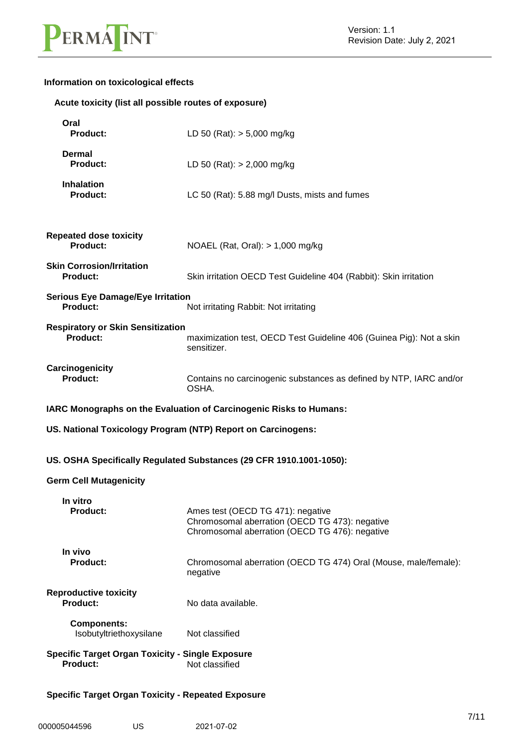

#### **Information on toxicological effects**

|                                                                            | Acute toxicity (list all possible routes of exposure)                                                                                 |  |  |
|----------------------------------------------------------------------------|---------------------------------------------------------------------------------------------------------------------------------------|--|--|
| Oral<br><b>Product:</b>                                                    | LD 50 (Rat): $> 5,000$ mg/kg                                                                                                          |  |  |
| <b>Dermal</b><br><b>Product:</b>                                           | LD 50 (Rat): $> 2,000$ mg/kg                                                                                                          |  |  |
| <b>Inhalation</b><br>Product:                                              | LC 50 (Rat): 5.88 mg/l Dusts, mists and fumes                                                                                         |  |  |
| <b>Repeated dose toxicity</b><br><b>Product:</b>                           | NOAEL (Rat, Oral): $> 1,000$ mg/kg                                                                                                    |  |  |
| <b>Skin Corrosion/Irritation</b><br><b>Product:</b>                        | Skin irritation OECD Test Guideline 404 (Rabbit): Skin irritation                                                                     |  |  |
| <b>Serious Eye Damage/Eye Irritation</b><br>Product:                       | Not irritating Rabbit: Not irritating                                                                                                 |  |  |
| <b>Respiratory or Skin Sensitization</b><br><b>Product:</b>                | maximization test, OECD Test Guideline 406 (Guinea Pig): Not a skin<br>sensitizer.                                                    |  |  |
| Carcinogenicity<br><b>Product:</b>                                         | Contains no carcinogenic substances as defined by NTP, IARC and/or<br>OSHA.                                                           |  |  |
|                                                                            | IARC Monographs on the Evaluation of Carcinogenic Risks to Humans:                                                                    |  |  |
|                                                                            | US. National Toxicology Program (NTP) Report on Carcinogens:                                                                          |  |  |
|                                                                            | US. OSHA Specifically Regulated Substances (29 CFR 1910.1001-1050):                                                                   |  |  |
| <b>Germ Cell Mutagenicity</b>                                              |                                                                                                                                       |  |  |
|                                                                            |                                                                                                                                       |  |  |
| In vitro<br><b>Product:</b>                                                | Ames test (OECD TG 471): negative<br>Chromosomal aberration (OECD TG 473): negative<br>Chromosomal aberration (OECD TG 476): negative |  |  |
| In vivo<br><b>Product:</b>                                                 | Chromosomal aberration (OECD TG 474) Oral (Mouse, male/female):<br>negative                                                           |  |  |
| <b>Reproductive toxicity</b><br><b>Product:</b>                            | No data available.                                                                                                                    |  |  |
| <b>Components:</b><br>Isobutyltriethoxysilane                              | Not classified                                                                                                                        |  |  |
| <b>Specific Target Organ Toxicity - Single Exposure</b><br><b>Product:</b> | Not classified                                                                                                                        |  |  |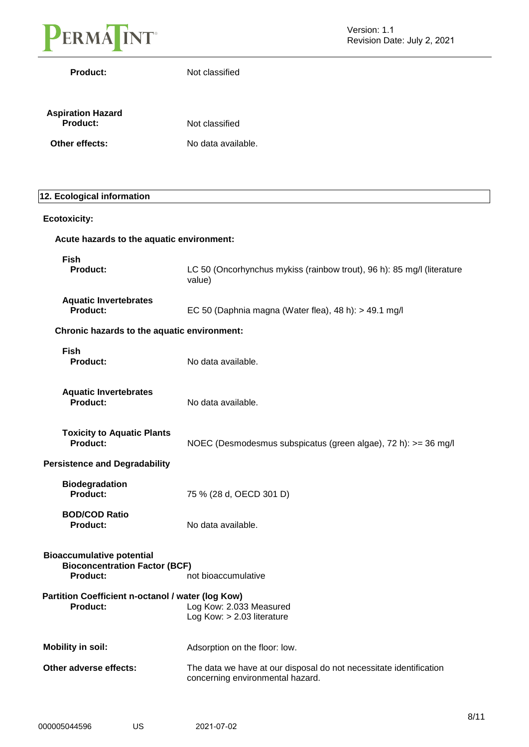

**Product:** Not classified

| <b>Aspiration Hazard</b><br>Product: | Not classified     |  |  |
|--------------------------------------|--------------------|--|--|
| Other effects:                       | No data available. |  |  |

#### **12. Ecological information**

| <b>Ecotoxicity:</b>                                                                                                |                                                                                                        |
|--------------------------------------------------------------------------------------------------------------------|--------------------------------------------------------------------------------------------------------|
| Acute hazards to the aquatic environment:                                                                          |                                                                                                        |
| <b>Fish</b><br>Product:                                                                                            | LC 50 (Oncorhynchus mykiss (rainbow trout), 96 h): 85 mg/l (literature<br>value)                       |
| <b>Aquatic Invertebrates</b><br><b>Product:</b>                                                                    | EC 50 (Daphnia magna (Water flea), 48 h): > 49.1 mg/l                                                  |
| Chronic hazards to the aquatic environment:                                                                        |                                                                                                        |
| <b>Fish</b><br><b>Product:</b>                                                                                     | No data available.                                                                                     |
| <b>Aquatic Invertebrates</b><br><b>Product:</b>                                                                    | No data available.                                                                                     |
| <b>Toxicity to Aquatic Plants</b><br><b>Product:</b>                                                               | NOEC (Desmodesmus subspicatus (green algae), 72 h): >= 36 mg/l                                         |
| <b>Persistence and Degradability</b>                                                                               |                                                                                                        |
| <b>Biodegradation</b><br><b>Product:</b>                                                                           | 75 % (28 d, OECD 301 D)                                                                                |
| <b>BOD/COD Ratio</b><br><b>Product:</b>                                                                            | No data available.                                                                                     |
| <b>Bioaccumulative potential</b><br><b>Bioconcentration Factor (BCF)</b><br><b>Product:</b><br>not bioaccumulative |                                                                                                        |
| Partition Coefficient n-octanol / water (log Kow)<br><b>Product:</b>                                               | Log Kow: 2.033 Measured<br>Log Kow: > 2.03 literature                                                  |
| <b>Mobility in soil:</b>                                                                                           | Adsorption on the floor: low.                                                                          |
| Other adverse effects:                                                                                             | The data we have at our disposal do not necessitate identification<br>concerning environmental hazard. |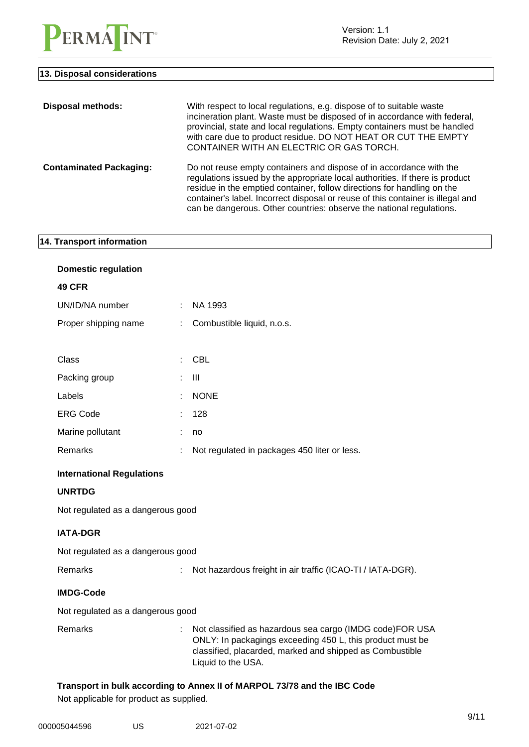

Version: 1.1 Revision Date: July 2, 2021

#### **13. Disposal considerations**

| <b>Disposal methods:</b>       | With respect to local regulations, e.g. dispose of to suitable waste<br>incineration plant. Waste must be disposed of in accordance with federal,<br>provincial, state and local regulations. Empty containers must be handled<br>with care due to product residue. DO NOT HEAT OR CUT THE EMPTY<br>CONTAINER WITH AN ELECTRIC OR GAS TORCH.                                              |
|--------------------------------|-------------------------------------------------------------------------------------------------------------------------------------------------------------------------------------------------------------------------------------------------------------------------------------------------------------------------------------------------------------------------------------------|
| <b>Contaminated Packaging:</b> | Do not reuse empty containers and dispose of in accordance with the<br>regulations issued by the appropriate local authorities. If there is product<br>residue in the emptied container, follow directions for handling on the<br>container's label. Incorrect disposal or reuse of this container is illegal and<br>can be dangerous. Other countries: observe the national regulations. |

#### **14. Transport information**

| <b>Domestic regulation</b>                                               |    |                                                                                                                                                                                                         |
|--------------------------------------------------------------------------|----|---------------------------------------------------------------------------------------------------------------------------------------------------------------------------------------------------------|
| 49 CFR                                                                   |    |                                                                                                                                                                                                         |
| UN/ID/NA number                                                          | ÷  | NA 1993                                                                                                                                                                                                 |
| Proper shipping name                                                     | ÷  | Combustible liquid, n.o.s.                                                                                                                                                                              |
|                                                                          |    |                                                                                                                                                                                                         |
| Class                                                                    | ÷  | <b>CBL</b>                                                                                                                                                                                              |
| Packing group                                                            | ÷. | $\mathbf{III}$                                                                                                                                                                                          |
| Labels                                                                   | ÷  | <b>NONE</b>                                                                                                                                                                                             |
| <b>ERG Code</b>                                                          |    | 128                                                                                                                                                                                                     |
| Marine pollutant                                                         |    | no                                                                                                                                                                                                      |
| Remarks                                                                  |    | Not regulated in packages 450 liter or less.                                                                                                                                                            |
| <b>International Regulations</b>                                         |    |                                                                                                                                                                                                         |
| <b>UNRTDG</b>                                                            |    |                                                                                                                                                                                                         |
| Not regulated as a dangerous good                                        |    |                                                                                                                                                                                                         |
| <b>IATA-DGR</b>                                                          |    |                                                                                                                                                                                                         |
| Not regulated as a dangerous good                                        |    |                                                                                                                                                                                                         |
| Remarks                                                                  | ÷  | Not hazardous freight in air traffic (ICAO-TI / IATA-DGR).                                                                                                                                              |
| <b>IMDG-Code</b>                                                         |    |                                                                                                                                                                                                         |
| Not regulated as a dangerous good                                        |    |                                                                                                                                                                                                         |
| Remarks                                                                  |    | Not classified as hazardous sea cargo (IMDG code)FOR USA<br>ONLY: In packagings exceeding 450 L, this product must be<br>classified, placarded, marked and shipped as Combustible<br>Liquid to the USA. |
| Transport in bulk according to Annex II of MARPOL 73/78 and the IBC Code |    |                                                                                                                                                                                                         |

Not applicable for product as supplied.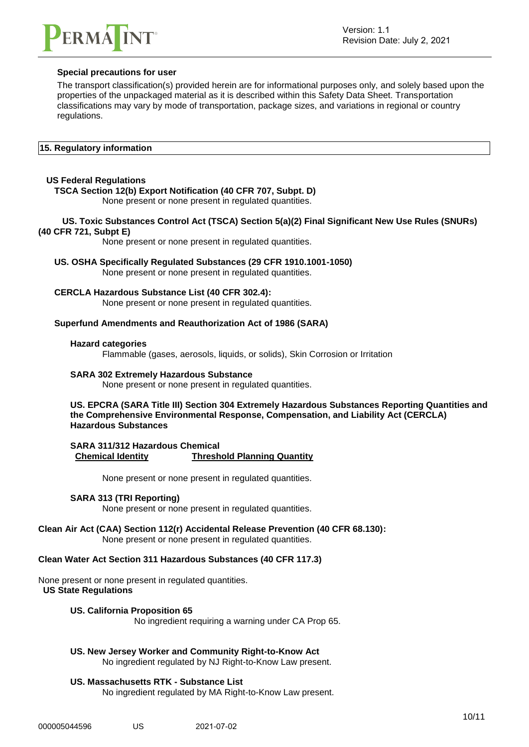

#### **Special precautions for user**

The transport classification(s) provided herein are for informational purposes only, and solely based upon the properties of the unpackaged material as it is described within this Safety Data Sheet. Transportation classifications may vary by mode of transportation, package sizes, and variations in regional or country regulations.

#### **15. Regulatory information**

#### **US Federal Regulations**

#### **TSCA Section 12(b) Export Notification (40 CFR 707, Subpt. D)**

None present or none present in regulated quantities.

#### **US. Toxic Substances Control Act (TSCA) Section 5(a)(2) Final Significant New Use Rules (SNURs) (40 CFR 721, Subpt E)**

None present or none present in regulated quantities.

### **US. OSHA Specifically Regulated Substances (29 CFR 1910.1001-1050)**

None present or none present in regulated quantities.

#### **CERCLA Hazardous Substance List (40 CFR 302.4):**

None present or none present in regulated quantities.

#### **Superfund Amendments and Reauthorization Act of 1986 (SARA)**

#### **Hazard categories**

Flammable (gases, aerosols, liquids, or solids), Skin Corrosion or Irritation

#### **SARA 302 Extremely Hazardous Substance**

None present or none present in regulated quantities.

**US. EPCRA (SARA Title III) Section 304 Extremely Hazardous Substances Reporting Quantities and the Comprehensive Environmental Response, Compensation, and Liability Act (CERCLA) Hazardous Substances**

**SARA 311/312 Hazardous Chemical Chemical Identity Threshold Planning Quantity**

None present or none present in regulated quantities.

#### **SARA 313 (TRI Reporting)**

None present or none present in regulated quantities.

#### **Clean Air Act (CAA) Section 112(r) Accidental Release Prevention (40 CFR 68.130):** None present or none present in regulated quantities.

#### **Clean Water Act Section 311 Hazardous Substances (40 CFR 117.3)**

None present or none present in regulated quantities. **US State Regulations**

#### **US. California Proposition 65**

No ingredient requiring a warning under CA Prop 65.

### **US. New Jersey Worker and Community Right-to-Know Act**

No ingredient regulated by NJ Right-to-Know Law present.

#### **US. Massachusetts RTK - Substance List**

No ingredient regulated by MA Right-to-Know Law present.